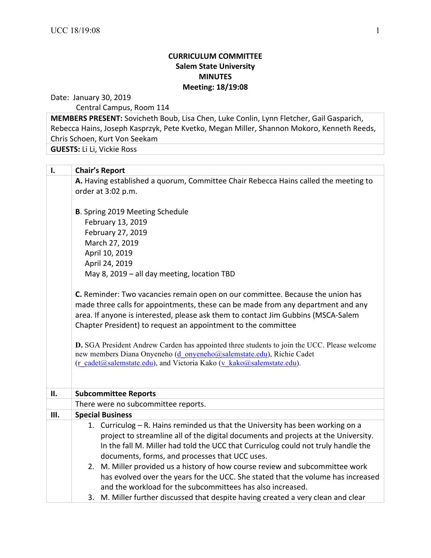## **CURRICULUM COMMITTEE Salem State University MINUTES Meeting: 18/19:08**

Date: January 30, 2019

Central Campus, Room 114

**MEMBERS PRESENT:** Sovicheth Boub, Lisa Chen, Luke Conlin, Lynn Fletcher, Gail Gasparich, Rebecca Hains, Joseph Kasprzyk, Pete Kvetko, Megan Miller, Shannon Mokoro, Kenneth Reeds, Chris Schoen, Kurt Von Seekam

**GUESTS:** Li Li, Vickie Ross

| $\mathbf{l}$ . | <b>Chair's Report</b>                                                                                                                                                                                                                                                                                                                                                                                                                                                            |  |  |  |
|----------------|----------------------------------------------------------------------------------------------------------------------------------------------------------------------------------------------------------------------------------------------------------------------------------------------------------------------------------------------------------------------------------------------------------------------------------------------------------------------------------|--|--|--|
|                | A. Having established a quorum, Committee Chair Rebecca Hains called the meeting to<br>order at 3:02 p.m.                                                                                                                                                                                                                                                                                                                                                                        |  |  |  |
|                | <b>B.</b> Spring 2019 Meeting Schedule<br>February 13, 2019<br>February 27, 2019<br>March 27, 2019<br>April 10, 2019<br>April 24, 2019<br>May 8, 2019 - all day meeting, location TBD                                                                                                                                                                                                                                                                                            |  |  |  |
|                | C. Reminder: Two vacancies remain open on our committee. Because the union has<br>made three calls for appointments, these can be made from any department and any<br>area. If anyone is interested, please ask them to contact Jim Gubbins (MSCA-Salem<br>Chapter President) to request an appointment to the committee                                                                                                                                                         |  |  |  |
|                | D. SGA President Andrew Carden has appointed three students to join the UCC. Please welcome<br>new members Diana Onyeneho (d onyeneho@salemstate.edu), Richie Cadet<br>(r cadet@salemstate.edu), and Victoria Kako (v kako@salemstate.edu).                                                                                                                                                                                                                                      |  |  |  |
| II.            | <b>Subcommittee Reports</b>                                                                                                                                                                                                                                                                                                                                                                                                                                                      |  |  |  |
|                | There were no subcommittee reports.                                                                                                                                                                                                                                                                                                                                                                                                                                              |  |  |  |
| Ш.             | <b>Special Business</b>                                                                                                                                                                                                                                                                                                                                                                                                                                                          |  |  |  |
|                | 1. Curriculog - R. Hains reminded us that the University has been working on a<br>project to streamline all of the digital documents and projects at the University.<br>In the fall M. Miller had told the UCC that Curriculog could not truly handle the<br>documents, forms, and processes that UCC uses.<br>2. M. Miller provided us a history of how course review and subcommittee work<br>has evolved over the years for the UCC. She stated that the volume has increased |  |  |  |
|                | and the workload for the subcommittees has also increased.<br>3. M. Miller further discussed that despite having created a very clean and clear                                                                                                                                                                                                                                                                                                                                  |  |  |  |